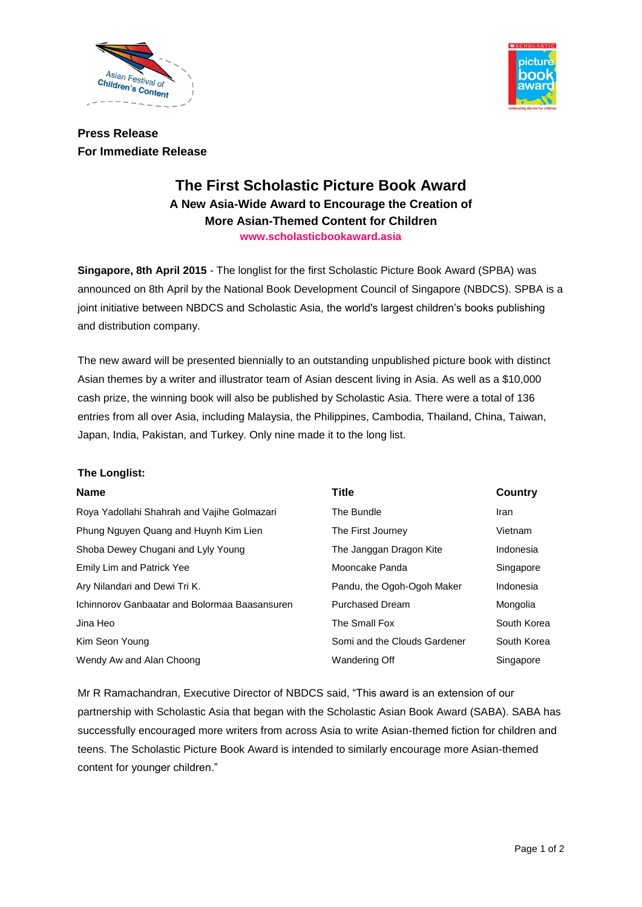



**Press Release For Immediate Release**

# **The First Scholastic Picture Book Award A New Asia-Wide Award to Encourage the Creation of More Asian-Themed Content for Children www.scholasticbookaward.asia**

**Singapore, 8th April 2015** - The longlist for the first Scholastic Picture Book Award (SPBA) was announced on 8th April by the National Book Development Council of Singapore (NBDCS). SPBA is a joint initiative between NBDCS and Scholastic Asia, the world's largest children's books publishing and distribution company.

The new award will be presented biennially to an outstanding unpublished picture book with distinct Asian themes by a writer and illustrator team of Asian descent living in Asia. As well as a \$10,000 cash prize, the winning book will also be published by Scholastic Asia. There were a total of 136 entries from all over Asia, including Malaysia, the Philippines, Cambodia, Thailand, China, Taiwan, Japan, India, Pakistan, and Turkey. Only nine made it to the long list.

#### **The Longlist:**

| <b>Name</b>                                   | <b>Title</b>                 | <b>Country</b> |
|-----------------------------------------------|------------------------------|----------------|
| Roya Yadollahi Shahrah and Vajihe Golmazari   | The Bundle                   | Iran           |
| Phung Nguyen Quang and Huynh Kim Lien         | The First Journey            | Vietnam        |
| Shoba Dewey Chugani and Lyly Young            | The Janggan Dragon Kite      | Indonesia      |
| <b>Emily Lim and Patrick Yee</b>              | Mooncake Panda               | Singapore      |
| Ary Nilandari and Dewi Tri K.                 | Pandu, the Ogoh-Ogoh Maker   | Indonesia      |
| Ichinnorov Ganbaatar and Bolormaa Baasansuren | <b>Purchased Dream</b>       | Mongolia       |
| Jina Heo                                      | The Small Fox                | South Korea    |
| Kim Seon Young                                | Somi and the Clouds Gardener | South Korea    |
| Wendy Aw and Alan Choong                      | Wandering Off                | Singapore      |
|                                               |                              |                |

Mr R Ramachandran, Executive Director of NBDCS said, "This award is an extension of our partnership with Scholastic Asia that began with the Scholastic Asian Book Award (SABA). SABA has successfully encouraged more writers from across Asia to write Asian-themed fiction for children and teens. The Scholastic Picture Book Award is intended to similarly encourage more Asian-themed content for younger children."